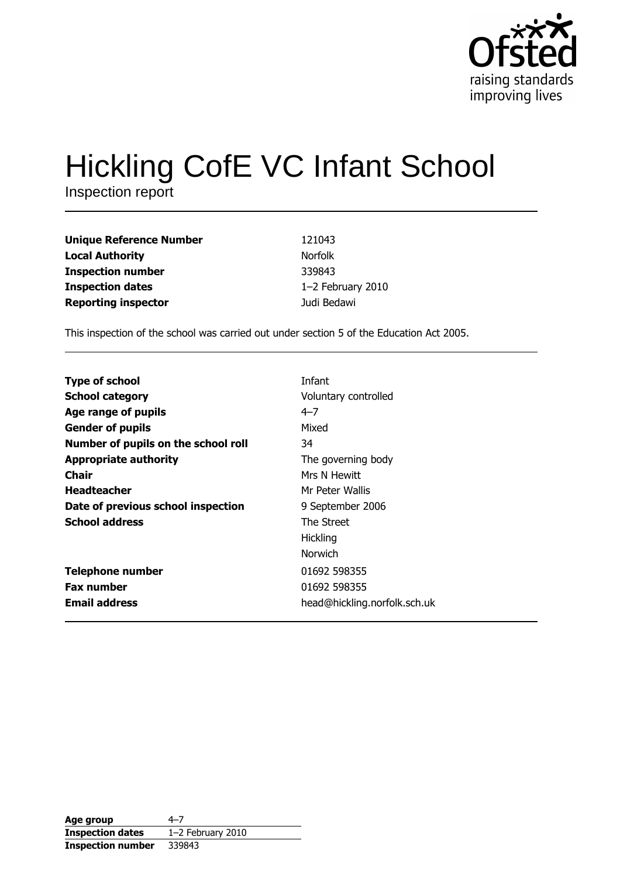

# **Hickling CofE VC Infant School**

Inspection report

| <b>Unique Reference Number</b> | 121043            |
|--------------------------------|-------------------|
| <b>Local Authority</b>         | <b>Norfolk</b>    |
| <b>Inspection number</b>       | 339843            |
| <b>Inspection dates</b>        | 1-2 February 2010 |
| <b>Reporting inspector</b>     | Judi Bedawi       |

This inspection of the school was carried out under section 5 of the Education Act 2005.

| <b>Type of school</b>               | Infant                       |
|-------------------------------------|------------------------------|
| <b>School category</b>              | Voluntary controlled         |
| Age range of pupils                 | $4 - 7$                      |
| <b>Gender of pupils</b>             | Mixed                        |
| Number of pupils on the school roll | 34                           |
| <b>Appropriate authority</b>        | The governing body           |
| Chair                               | Mrs N Hewitt                 |
| <b>Headteacher</b>                  | Mr Peter Wallis              |
| Date of previous school inspection  | 9 September 2006             |
| <b>School address</b>               | The Street                   |
|                                     | <b>Hickling</b>              |
|                                     | <b>Norwich</b>               |
| <b>Telephone number</b>             | 01692 598355                 |
| <b>Fax number</b>                   | 01692 598355                 |
| <b>Email address</b>                | head@hickling.norfolk.sch.uk |

| Age group                | $4 - 7$             |
|--------------------------|---------------------|
| <b>Inspection dates</b>  | $1-2$ February 2010 |
| <b>Inspection number</b> | 339843              |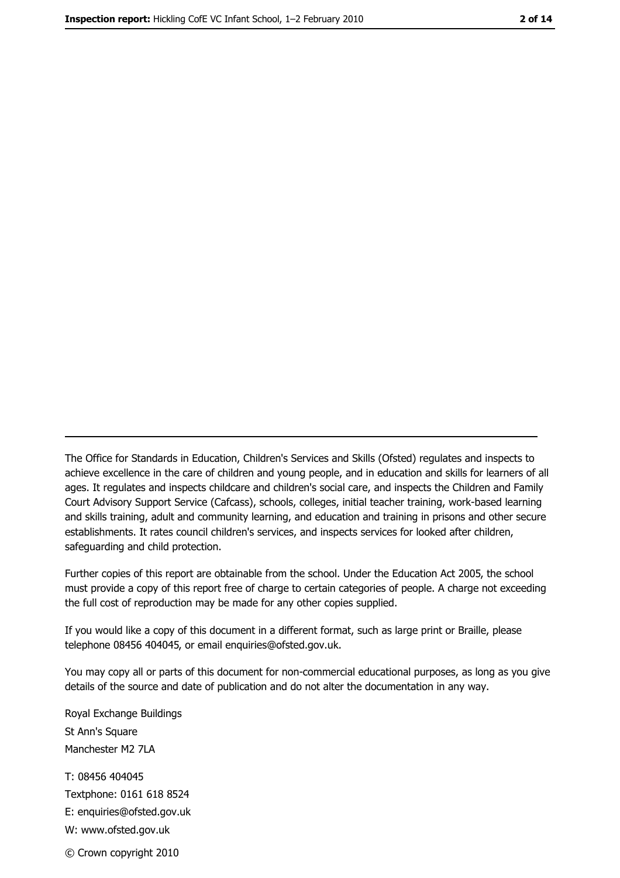The Office for Standards in Education, Children's Services and Skills (Ofsted) regulates and inspects to achieve excellence in the care of children and young people, and in education and skills for learners of all ages. It regulates and inspects childcare and children's social care, and inspects the Children and Family Court Advisory Support Service (Cafcass), schools, colleges, initial teacher training, work-based learning and skills training, adult and community learning, and education and training in prisons and other secure establishments. It rates council children's services, and inspects services for looked after children, safequarding and child protection.

Further copies of this report are obtainable from the school. Under the Education Act 2005, the school must provide a copy of this report free of charge to certain categories of people. A charge not exceeding the full cost of reproduction may be made for any other copies supplied.

If you would like a copy of this document in a different format, such as large print or Braille, please telephone 08456 404045, or email enquiries@ofsted.gov.uk.

You may copy all or parts of this document for non-commercial educational purposes, as long as you give details of the source and date of publication and do not alter the documentation in any way.

Royal Exchange Buildings St Ann's Square Manchester M2 7LA T: 08456 404045 Textphone: 0161 618 8524 E: enquiries@ofsted.gov.uk W: www.ofsted.gov.uk © Crown copyright 2010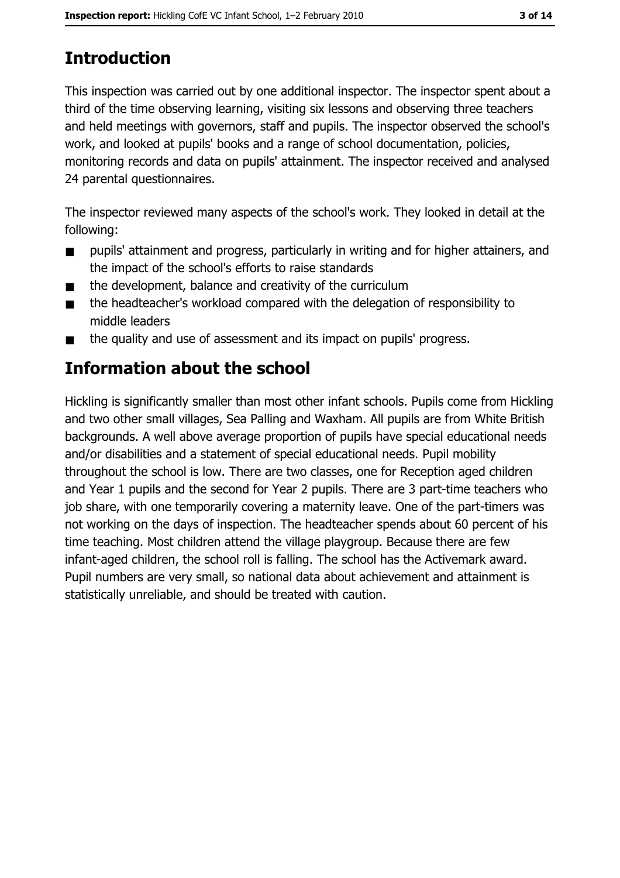# **Introduction**

This inspection was carried out by one additional inspector. The inspector spent about a third of the time observing learning, visiting six lessons and observing three teachers and held meetings with governors, staff and pupils. The inspector observed the school's work, and looked at pupils' books and a range of school documentation, policies, monitoring records and data on pupils' attainment. The inspector received and analysed 24 parental questionnaires.

The inspector reviewed many aspects of the school's work. They looked in detail at the following:

- $\blacksquare$ pupils' attainment and progress, particularly in writing and for higher attainers, and the impact of the school's efforts to raise standards
- the development, balance and creativity of the curriculum  $\blacksquare$
- the headteacher's workload compared with the delegation of responsibility to  $\blacksquare$ middle leaders
- the quality and use of assessment and its impact on pupils' progress.  $\blacksquare$

# **Information about the school**

Hickling is significantly smaller than most other infant schools. Pupils come from Hickling and two other small villages, Sea Palling and Waxham. All pupils are from White British backgrounds. A well above average proportion of pupils have special educational needs and/or disabilities and a statement of special educational needs. Pupil mobility throughout the school is low. There are two classes, one for Reception aged children and Year 1 pupils and the second for Year 2 pupils. There are 3 part-time teachers who job share, with one temporarily covering a maternity leave. One of the part-timers was not working on the days of inspection. The headteacher spends about 60 percent of his time teaching. Most children attend the village playgroup. Because there are few infant-aged children, the school roll is falling. The school has the Activemark award. Pupil numbers are very small, so national data about achievement and attainment is statistically unreliable, and should be treated with caution.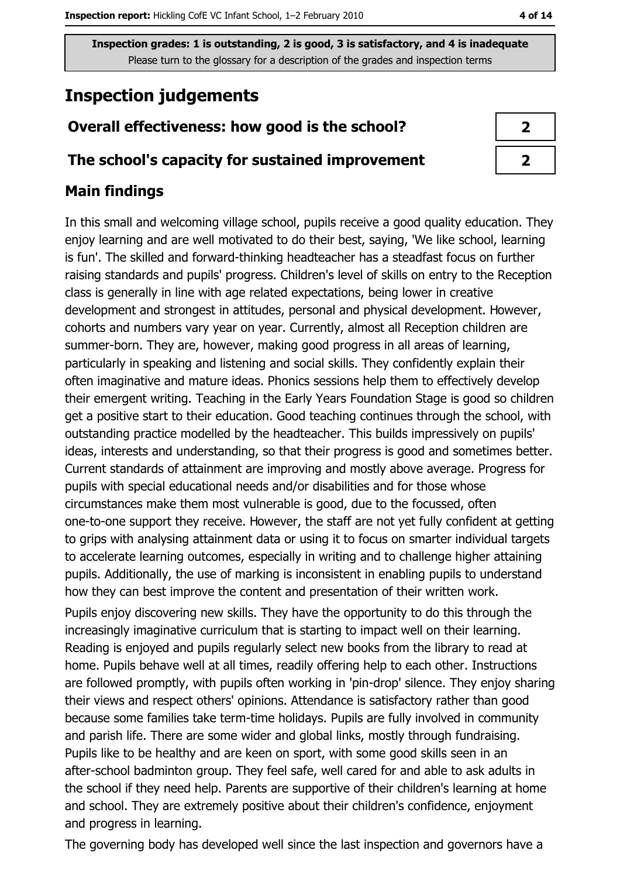# **Inspection judgements**

## Overall effectiveness: how good is the school?

#### The school's capacity for sustained improvement

### **Main findings**

In this small and welcoming village school, pupils receive a good quality education. They enjoy learning and are well motivated to do their best, saying, 'We like school, learning is fun'. The skilled and forward-thinking headteacher has a steadfast focus on further raising standards and pupils' progress. Children's level of skills on entry to the Reception class is generally in line with age related expectations, being lower in creative development and strongest in attitudes, personal and physical development. However, cohorts and numbers vary year on year. Currently, almost all Reception children are summer-born. They are, however, making good progress in all areas of learning, particularly in speaking and listening and social skills. They confidently explain their often imaginative and mature ideas. Phonics sessions help them to effectively develop their emergent writing. Teaching in the Early Years Foundation Stage is good so children get a positive start to their education. Good teaching continues through the school, with outstanding practice modelled by the headteacher. This builds impressively on pupils' ideas, interests and understanding, so that their progress is good and sometimes better. Current standards of attainment are improving and mostly above average. Progress for pupils with special educational needs and/or disabilities and for those whose circumstances make them most vulnerable is good, due to the focussed, often one-to-one support they receive. However, the staff are not yet fully confident at getting to grips with analysing attainment data or using it to focus on smarter individual targets to accelerate learning outcomes, especially in writing and to challenge higher attaining pupils. Additionally, the use of marking is inconsistent in enabling pupils to understand how they can best improve the content and presentation of their written work. Pupils enjoy discovering new skills. They have the opportunity to do this through the increasingly imaginative curriculum that is starting to impact well on their learning. Reading is enjoyed and pupils regularly select new books from the library to read at home. Pupils behave well at all times, readily offering help to each other. Instructions are followed promptly, with pupils often working in 'pin-drop' silence. They enjoy sharing their views and respect others' opinions. Attendance is satisfactory rather than good because some families take term-time holidays. Pupils are fully involved in community and parish life. There are some wider and global links, mostly through fundraising. Pupils like to be healthy and are keen on sport, with some good skills seen in an after-school badminton group. They feel safe, well cared for and able to ask adults in the school if they need help. Parents are supportive of their children's learning at home and school. They are extremely positive about their children's confidence, enjoyment and progress in learning.

 $\overline{2}$  $\overline{2}$ 

The governing body has developed well since the last inspection and governors have a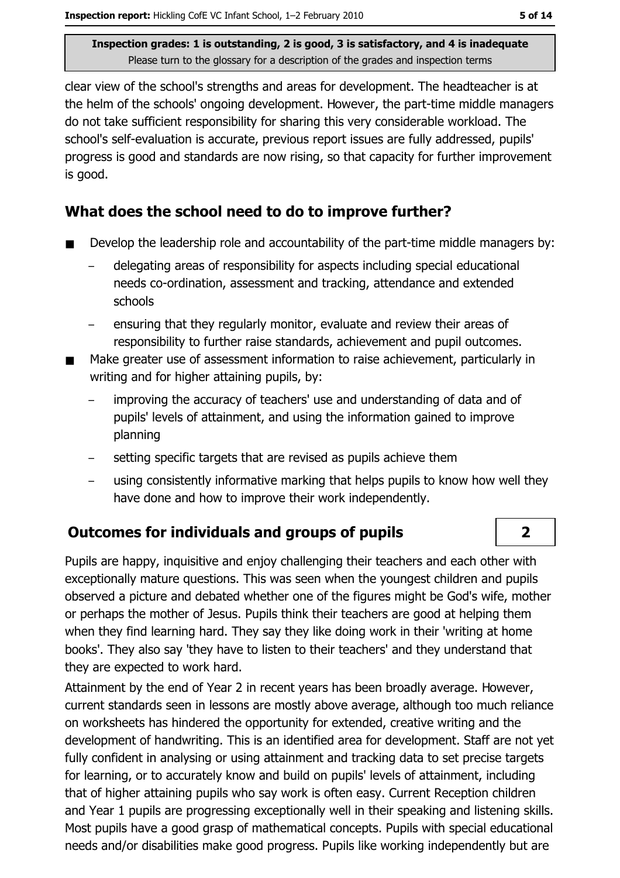clear view of the school's strengths and areas for development. The headteacher is at the helm of the schools' ongoing development. However, the part-time middle managers do not take sufficient responsibility for sharing this very considerable workload. The school's self-evaluation is accurate, previous report issues are fully addressed, pupils' progress is good and standards are now rising, so that capacity for further improvement is good.

## What does the school need to do to improve further?

- Develop the leadership role and accountability of the part-time middle managers by:  $\blacksquare$ 
	- delegating areas of responsibility for aspects including special educational needs co-ordination, assessment and tracking, attendance and extended schools
	- ensuring that they regularly monitor, evaluate and review their areas of responsibility to further raise standards, achievement and pupil outcomes.
- Make greater use of assessment information to raise achievement, particularly in writing and for higher attaining pupils, by:
	- improving the accuracy of teachers' use and understanding of data and of pupils' levels of attainment, and using the information gained to improve planning
	- setting specific targets that are revised as pupils achieve them
	- using consistently informative marking that helps pupils to know how well they have done and how to improve their work independently.

## **Outcomes for individuals and groups of pupils**

Pupils are happy, inquisitive and enjoy challenging their teachers and each other with exceptionally mature questions. This was seen when the youngest children and pupils observed a picture and debated whether one of the figures might be God's wife, mother or perhaps the mother of Jesus, Pupils think their teachers are good at helping them when they find learning hard. They say they like doing work in their 'writing at home books'. They also say 'they have to listen to their teachers' and they understand that they are expected to work hard.

Attainment by the end of Year 2 in recent years has been broadly average. However, current standards seen in lessons are mostly above average, although too much reliance on worksheets has hindered the opportunity for extended, creative writing and the development of handwriting. This is an identified area for development. Staff are not yet fully confident in analysing or using attainment and tracking data to set precise targets for learning, or to accurately know and build on pupils' levels of attainment, including that of higher attaining pupils who say work is often easy. Current Reception children and Year 1 pupils are progressing exceptionally well in their speaking and listening skills. Most pupils have a good grasp of mathematical concepts. Pupils with special educational needs and/or disabilities make good progress. Pupils like working independently but are

 $\overline{2}$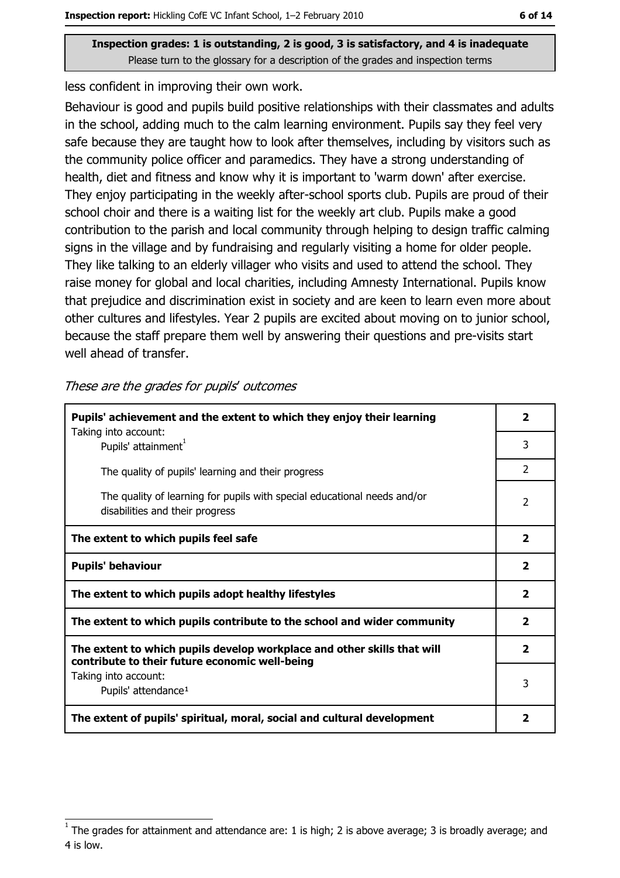less confident in improving their own work.

Behaviour is good and pupils build positive relationships with their classmates and adults in the school, adding much to the calm learning environment. Pupils say they feel very safe because they are taught how to look after themselves, including by visitors such as the community police officer and paramedics. They have a strong understanding of health, diet and fitness and know why it is important to 'warm down' after exercise. They enjoy participating in the weekly after-school sports club. Pupils are proud of their school choir and there is a waiting list for the weekly art club. Pupils make a good contribution to the parish and local community through helping to design traffic calming signs in the village and by fundraising and regularly visiting a home for older people. They like talking to an elderly villager who visits and used to attend the school. They raise money for global and local charities, including Amnesty International. Pupils know that prejudice and discrimination exist in society and are keen to learn even more about other cultures and lifestyles. Year 2 pupils are excited about moving on to junior school, because the staff prepare them well by answering their questions and pre-visits start well ahead of transfer.

These are the grades for pupils' outcomes

| Pupils' achievement and the extent to which they enjoy their learning                                                     |                |
|---------------------------------------------------------------------------------------------------------------------------|----------------|
| Taking into account:<br>Pupils' attainment <sup>1</sup>                                                                   | 3              |
| The quality of pupils' learning and their progress                                                                        | $\overline{2}$ |
| The quality of learning for pupils with special educational needs and/or<br>disabilities and their progress               |                |
| The extent to which pupils feel safe                                                                                      |                |
| <b>Pupils' behaviour</b>                                                                                                  |                |
| The extent to which pupils adopt healthy lifestyles                                                                       |                |
| The extent to which pupils contribute to the school and wider community                                                   |                |
| The extent to which pupils develop workplace and other skills that will<br>contribute to their future economic well-being |                |
| Taking into account:<br>Pupils' attendance <sup>1</sup>                                                                   |                |
| The extent of pupils' spiritual, moral, social and cultural development                                                   |                |

The grades for attainment and attendance are: 1 is high; 2 is above average; 3 is broadly average; and 4 is low.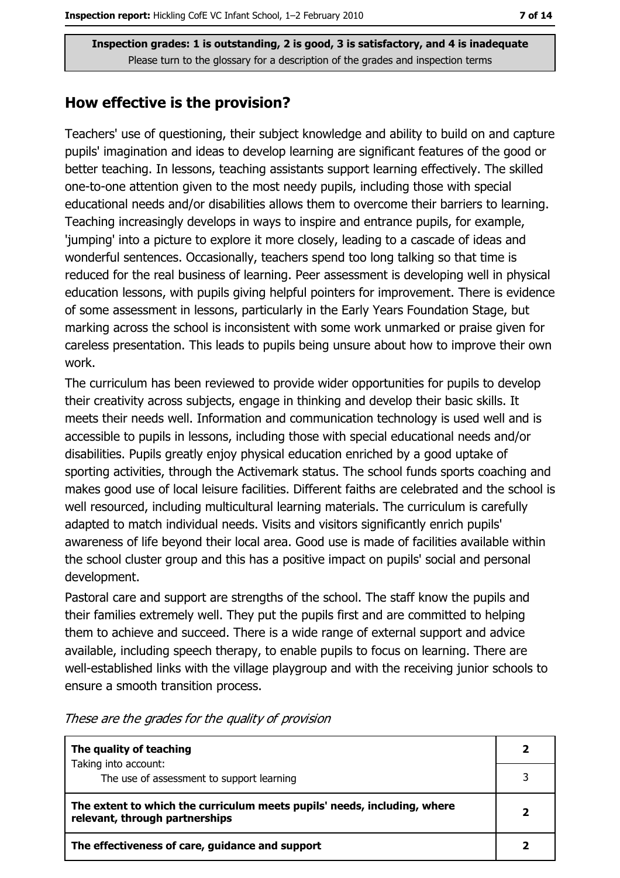#### How effective is the provision?

Teachers' use of questioning, their subject knowledge and ability to build on and capture pupils' imagination and ideas to develop learning are significant features of the good or better teaching. In lessons, teaching assistants support learning effectively. The skilled one-to-one attention given to the most needy pupils, including those with special educational needs and/or disabilities allows them to overcome their barriers to learning. Teaching increasingly develops in ways to inspire and entrance pupils, for example, 'jumping' into a picture to explore it more closely, leading to a cascade of ideas and wonderful sentences. Occasionally, teachers spend too long talking so that time is reduced for the real business of learning. Peer assessment is developing well in physical education lessons, with pupils giving helpful pointers for improvement. There is evidence of some assessment in lessons, particularly in the Early Years Foundation Stage, but marking across the school is inconsistent with some work unmarked or praise given for careless presentation. This leads to pupils being unsure about how to improve their own work.

The curriculum has been reviewed to provide wider opportunities for pupils to develop their creativity across subjects, engage in thinking and develop their basic skills. It meets their needs well. Information and communication technology is used well and is accessible to pupils in lessons, including those with special educational needs and/or disabilities. Pupils greatly enjoy physical education enriched by a good uptake of sporting activities, through the Activemark status. The school funds sports coaching and makes good use of local leisure facilities. Different faiths are celebrated and the school is well resourced, including multicultural learning materials. The curriculum is carefully adapted to match individual needs. Visits and visitors significantly enrich pupils' awareness of life beyond their local area. Good use is made of facilities available within the school cluster group and this has a positive impact on pupils' social and personal development.

Pastoral care and support are strengths of the school. The staff know the pupils and their families extremely well. They put the pupils first and are committed to helping them to achieve and succeed. There is a wide range of external support and advice available, including speech therapy, to enable pupils to focus on learning. There are well-established links with the village playgroup and with the receiving junior schools to ensure a smooth transition process.

| The quality of teaching                                                                                    |  |
|------------------------------------------------------------------------------------------------------------|--|
| Taking into account:<br>The use of assessment to support learning                                          |  |
| The extent to which the curriculum meets pupils' needs, including, where<br>relevant, through partnerships |  |
| The effectiveness of care, guidance and support                                                            |  |

These are the grades for the quality of provision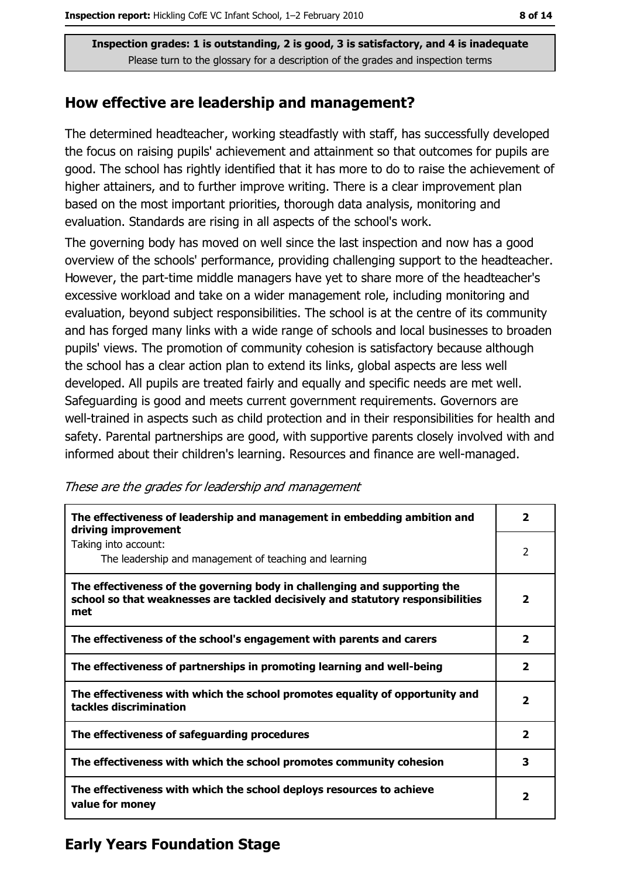#### How effective are leadership and management?

The determined headteacher, working steadfastly with staff, has successfully developed the focus on raising pupils' achievement and attainment so that outcomes for pupils are good. The school has rightly identified that it has more to do to raise the achievement of higher attainers, and to further improve writing. There is a clear improvement plan based on the most important priorities, thorough data analysis, monitoring and evaluation. Standards are rising in all aspects of the school's work.

The governing body has moved on well since the last inspection and now has a good overview of the schools' performance, providing challenging support to the headteacher. However, the part-time middle managers have yet to share more of the headteacher's excessive workload and take on a wider management role, including monitoring and evaluation, beyond subject responsibilities. The school is at the centre of its community and has forged many links with a wide range of schools and local businesses to broaden pupils' views. The promotion of community cohesion is satisfactory because although the school has a clear action plan to extend its links, global aspects are less well developed. All pupils are treated fairly and equally and specific needs are met well. Safeguarding is good and meets current government requirements. Governors are well-trained in aspects such as child protection and in their responsibilities for health and safety. Parental partnerships are good, with supportive parents closely involved with and informed about their children's learning. Resources and finance are well-managed.

The effectiveness of leadership and management in embedding ambition and  $\mathbf{z}$ driving improvement Taking into account:  $\overline{2}$ The leadership and management of teaching and learning The effectiveness of the governing body in challenging and supporting the  $\overline{2}$ school so that weaknesses are tackled decisively and statutory responsibilities met The effectiveness of the school's engagement with parents and carers  $\overline{2}$  $\overline{2}$ The effectiveness of partnerships in promoting learning and well-being The effectiveness with which the school promotes equality of opportunity and  $\overline{2}$ tackles discrimination The effectiveness of safeguarding procedures  $\overline{2}$ The effectiveness with which the school promotes community cohesion  $\overline{\mathbf{3}}$ The effectiveness with which the school deploys resources to achieve  $\overline{2}$ value for money

These are the grades for leadership and management

# **Early Years Foundation Stage**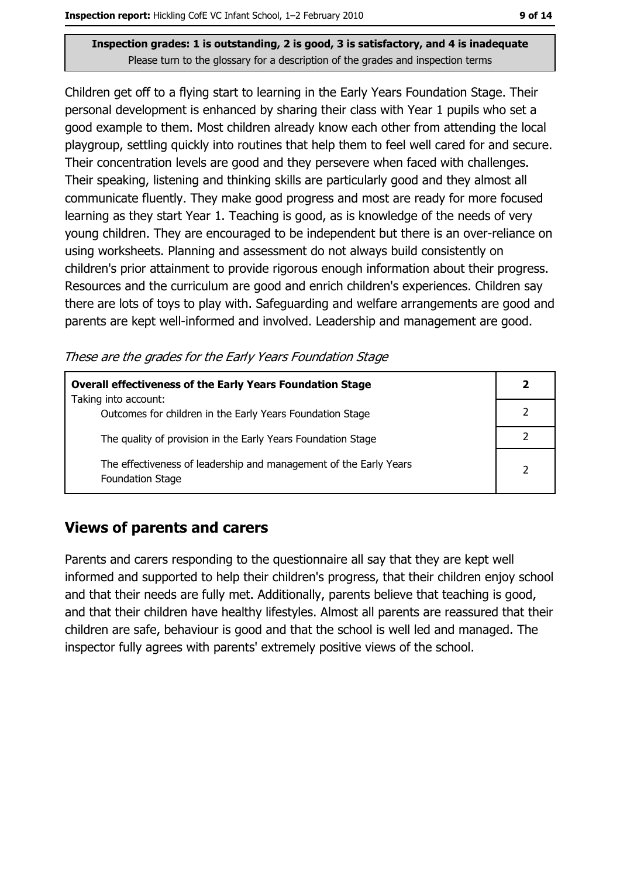Children get off to a flying start to learning in the Early Years Foundation Stage. Their personal development is enhanced by sharing their class with Year 1 pupils who set a good example to them. Most children already know each other from attending the local playgroup, settling quickly into routines that help them to feel well cared for and secure. Their concentration levels are good and they persevere when faced with challenges. Their speaking, listening and thinking skills are particularly good and they almost all communicate fluently. They make good progress and most are ready for more focused learning as they start Year 1. Teaching is good, as is knowledge of the needs of very young children. They are encouraged to be independent but there is an over-reliance on using worksheets. Planning and assessment do not always build consistently on children's prior attainment to provide rigorous enough information about their progress. Resources and the curriculum are good and enrich children's experiences. Children say there are lots of toys to play with. Safeguarding and welfare arrangements are good and parents are kept well-informed and involved. Leadership and management are good.

These are the grades for the Early Years Foundation Stage

| <b>Overall effectiveness of the Early Years Foundation Stage</b><br>Taking into account:     | 2             |
|----------------------------------------------------------------------------------------------|---------------|
| Outcomes for children in the Early Years Foundation Stage                                    |               |
| The quality of provision in the Early Years Foundation Stage                                 |               |
| The effectiveness of leadership and management of the Early Years<br><b>Foundation Stage</b> | $\mathcal{P}$ |

#### **Views of parents and carers**

Parents and carers responding to the questionnaire all say that they are kept well informed and supported to help their children's progress, that their children enjoy school and that their needs are fully met. Additionally, parents believe that teaching is good, and that their children have healthy lifestyles. Almost all parents are reassured that their children are safe, behaviour is good and that the school is well led and managed. The inspector fully agrees with parents' extremely positive views of the school.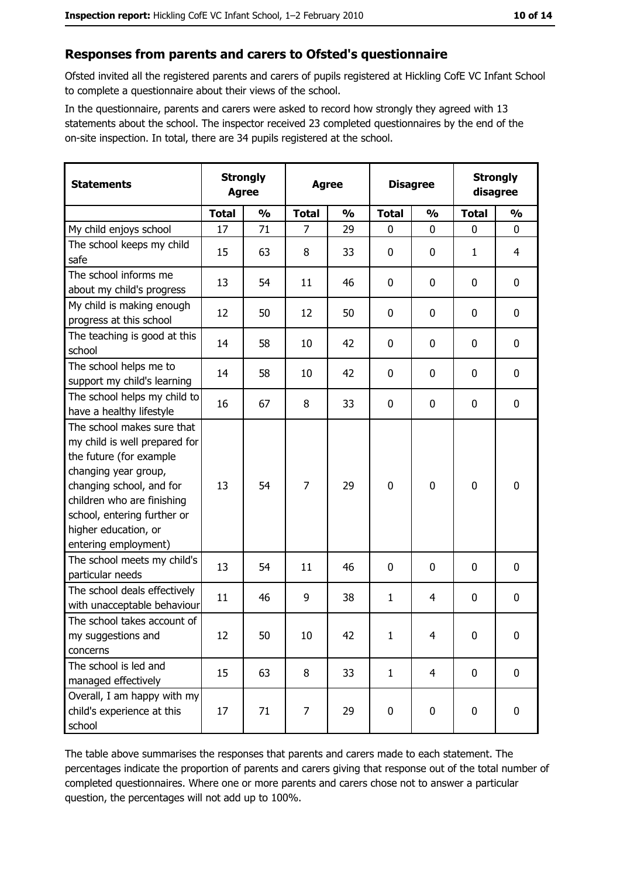## Responses from parents and carers to Ofsted's questionnaire

Ofsted invited all the registered parents and carers of pupils registered at Hickling CofE VC Infant School to complete a questionnaire about their views of the school.

In the questionnaire, parents and carers were asked to record how strongly they agreed with 13 statements about the school. The inspector received 23 completed questionnaires by the end of the on-site inspection. In total, there are 34 pupils registered at the school.

| <b>Statements</b>                                                                                                                                                                                                                                       | <b>Strongly</b><br><b>Agree</b> |               | <b>Agree</b>   |               | <b>Disagree</b> |                | <b>Strongly</b><br>disagree |                  |
|---------------------------------------------------------------------------------------------------------------------------------------------------------------------------------------------------------------------------------------------------------|---------------------------------|---------------|----------------|---------------|-----------------|----------------|-----------------------------|------------------|
|                                                                                                                                                                                                                                                         | <b>Total</b>                    | $\frac{0}{0}$ | <b>Total</b>   | $\frac{0}{0}$ | <b>Total</b>    | $\frac{0}{0}$  | <b>Total</b>                | $\frac{0}{0}$    |
| My child enjoys school                                                                                                                                                                                                                                  | 17                              | 71            | $\overline{7}$ | 29            | $\mathbf{0}$    | $\mathbf{0}$   | $\mathbf{0}$                | $\mathbf{0}$     |
| The school keeps my child<br>safe                                                                                                                                                                                                                       | 15                              | 63            | 8              | 33            | $\mathbf 0$     | 0              | 1                           | 4                |
| The school informs me<br>about my child's progress                                                                                                                                                                                                      | 13                              | 54            | 11             | 46            | 0               | 0              | 0                           | 0                |
| My child is making enough<br>progress at this school                                                                                                                                                                                                    | 12                              | 50            | 12             | 50            | $\mathbf 0$     | 0              | 0                           | 0                |
| The teaching is good at this<br>school                                                                                                                                                                                                                  | 14                              | 58            | 10             | 42            | $\mathbf 0$     | 0              | 0                           | $\mathbf 0$      |
| The school helps me to<br>support my child's learning                                                                                                                                                                                                   | 14                              | 58            | 10             | 42            | $\mathbf 0$     | 0              | 0                           | 0                |
| The school helps my child to<br>have a healthy lifestyle                                                                                                                                                                                                | 16                              | 67            | 8              | 33            | $\mathbf 0$     | 0              | 0                           | $\mathbf 0$      |
| The school makes sure that<br>my child is well prepared for<br>the future (for example<br>changing year group,<br>changing school, and for<br>children who are finishing<br>school, entering further or<br>higher education, or<br>entering employment) | 13                              | 54            | 7              | 29            | $\mathbf 0$     | 0              | $\mathbf 0$                 | $\mathbf 0$      |
| The school meets my child's<br>particular needs                                                                                                                                                                                                         | 13                              | 54            | 11             | 46            | $\mathbf 0$     | 0              | 0                           | 0                |
| The school deals effectively<br>with unacceptable behaviour                                                                                                                                                                                             | 11                              | 46            | 9              | 38            | $\mathbf{1}$    | 4              | 0                           | $\boldsymbol{0}$ |
| The school takes account of<br>my suggestions and<br>concerns                                                                                                                                                                                           | 12                              | 50            | 10             | 42            | $\mathbf{1}$    | 4              | 0                           | $\boldsymbol{0}$ |
| The school is led and<br>managed effectively                                                                                                                                                                                                            | 15                              | 63            | 8              | 33            | $\mathbf{1}$    | $\overline{4}$ | $\mathbf 0$                 | 0                |
| Overall, I am happy with my<br>child's experience at this<br>school                                                                                                                                                                                     | 17                              | 71            | 7              | 29            | $\mathbf 0$     | $\mathbf 0$    | $\mathbf 0$                 | 0                |

The table above summarises the responses that parents and carers made to each statement. The percentages indicate the proportion of parents and carers giving that response out of the total number of completed questionnaires. Where one or more parents and carers chose not to answer a particular question, the percentages will not add up to 100%.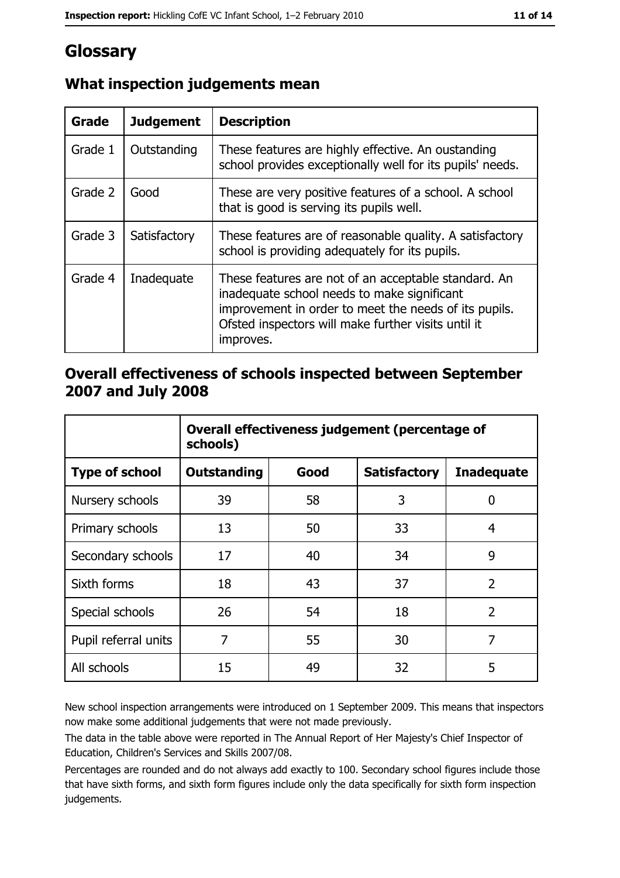# Glossary

| Grade   | <b>Judgement</b> | <b>Description</b>                                                                                                                                                                                                               |  |
|---------|------------------|----------------------------------------------------------------------------------------------------------------------------------------------------------------------------------------------------------------------------------|--|
| Grade 1 | Outstanding      | These features are highly effective. An oustanding<br>school provides exceptionally well for its pupils' needs.                                                                                                                  |  |
| Grade 2 | Good             | These are very positive features of a school. A school<br>that is good is serving its pupils well.                                                                                                                               |  |
| Grade 3 | Satisfactory     | These features are of reasonable quality. A satisfactory<br>school is providing adequately for its pupils.                                                                                                                       |  |
| Grade 4 | Inadequate       | These features are not of an acceptable standard. An<br>inadequate school needs to make significant<br>improvement in order to meet the needs of its pupils.<br>Ofsted inspectors will make further visits until it<br>improves. |  |

# What inspection judgements mean

## Overall effectiveness of schools inspected between September 2007 and July 2008

|                       | Overall effectiveness judgement (percentage of<br>schools) |      |                     |                   |
|-----------------------|------------------------------------------------------------|------|---------------------|-------------------|
| <b>Type of school</b> | <b>Outstanding</b>                                         | Good | <b>Satisfactory</b> | <b>Inadequate</b> |
| Nursery schools       | 39                                                         | 58   | 3                   | 0                 |
| Primary schools       | 13                                                         | 50   | 33                  | 4                 |
| Secondary schools     | 17                                                         | 40   | 34                  | 9                 |
| Sixth forms           | 18                                                         | 43   | 37                  | $\overline{2}$    |
| Special schools       | 26                                                         | 54   | 18                  | $\overline{2}$    |
| Pupil referral units  | 7                                                          | 55   | 30                  | 7                 |
| All schools           | 15                                                         | 49   | 32                  | 5                 |

New school inspection arrangements were introduced on 1 September 2009. This means that inspectors now make some additional judgements that were not made previously.

The data in the table above were reported in The Annual Report of Her Majesty's Chief Inspector of Education, Children's Services and Skills 2007/08.

Percentages are rounded and do not always add exactly to 100. Secondary school figures include those that have sixth forms, and sixth form figures include only the data specifically for sixth form inspection judgements.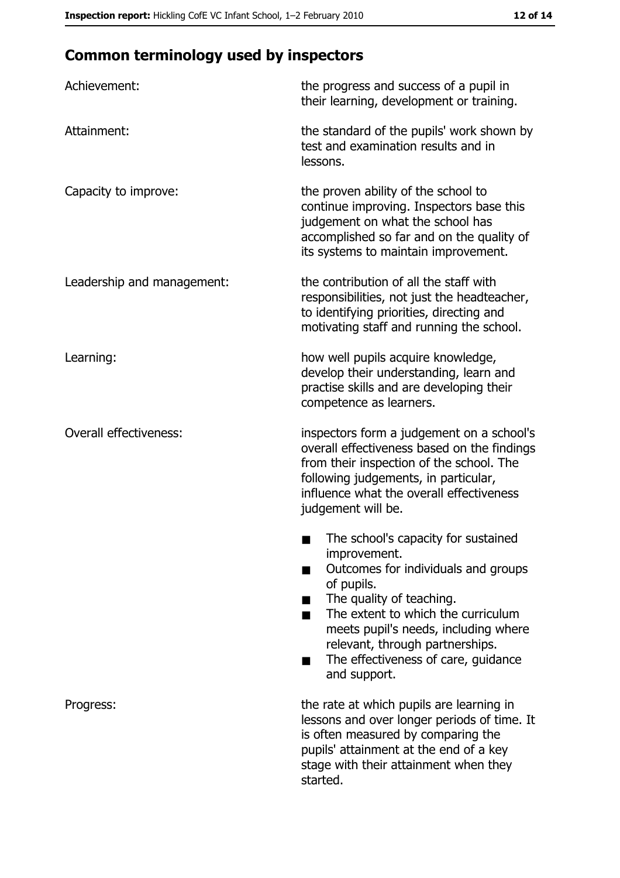# **Common terminology used by inspectors**

| Achievement:                  | the progress and success of a pupil in<br>their learning, development or training.                                                                                                                                                                                                                           |
|-------------------------------|--------------------------------------------------------------------------------------------------------------------------------------------------------------------------------------------------------------------------------------------------------------------------------------------------------------|
| Attainment:                   | the standard of the pupils' work shown by<br>test and examination results and in<br>lessons.                                                                                                                                                                                                                 |
| Capacity to improve:          | the proven ability of the school to<br>continue improving. Inspectors base this<br>judgement on what the school has<br>accomplished so far and on the quality of<br>its systems to maintain improvement.                                                                                                     |
| Leadership and management:    | the contribution of all the staff with<br>responsibilities, not just the headteacher,<br>to identifying priorities, directing and<br>motivating staff and running the school.                                                                                                                                |
| Learning:                     | how well pupils acquire knowledge,<br>develop their understanding, learn and<br>practise skills and are developing their<br>competence as learners.                                                                                                                                                          |
| <b>Overall effectiveness:</b> | inspectors form a judgement on a school's<br>overall effectiveness based on the findings<br>from their inspection of the school. The<br>following judgements, in particular,<br>influence what the overall effectiveness<br>judgement will be.                                                               |
|                               | The school's capacity for sustained<br>improvement.<br>Outcomes for individuals and groups<br>of pupils.<br>The quality of teaching.<br>The extent to which the curriculum<br>meets pupil's needs, including where<br>relevant, through partnerships.<br>The effectiveness of care, guidance<br>and support. |
| Progress:                     | the rate at which pupils are learning in<br>lessons and over longer periods of time. It<br>is often measured by comparing the<br>pupils' attainment at the end of a key<br>stage with their attainment when they<br>started.                                                                                 |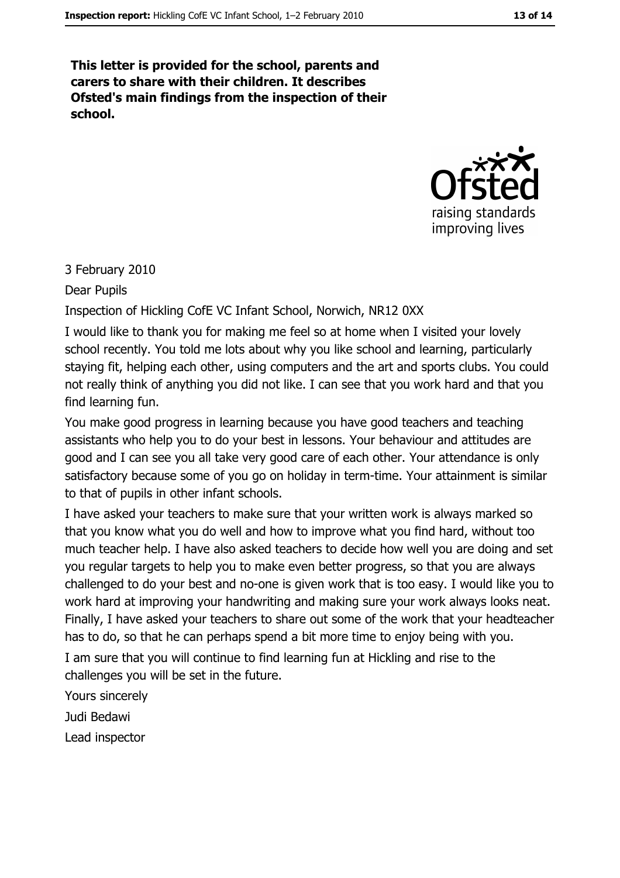This letter is provided for the school, parents and carers to share with their children. It describes Ofsted's main findings from the inspection of their school.



3 February 2010

Dear Pupils

Inspection of Hickling CofE VC Infant School, Norwich, NR12 0XX

I would like to thank you for making me feel so at home when I visited your lovely school recently. You told me lots about why you like school and learning, particularly staying fit, helping each other, using computers and the art and sports clubs. You could not really think of anything you did not like. I can see that you work hard and that you find learning fun.

You make good progress in learning because you have good teachers and teaching assistants who help you to do your best in lessons. Your behaviour and attitudes are good and I can see you all take very good care of each other. Your attendance is only satisfactory because some of you go on holiday in term-time. Your attainment is similar to that of pupils in other infant schools.

I have asked your teachers to make sure that your written work is always marked so that you know what you do well and how to improve what you find hard, without too much teacher help. I have also asked teachers to decide how well you are doing and set you regular targets to help you to make even better progress, so that you are always challenged to do your best and no-one is given work that is too easy. I would like you to work hard at improving your handwriting and making sure your work always looks neat. Finally, I have asked your teachers to share out some of the work that your headteacher has to do, so that he can perhaps spend a bit more time to enjoy being with you.

I am sure that you will continue to find learning fun at Hickling and rise to the challenges you will be set in the future.

Yours sincerely Judi Bedawi Lead inspector